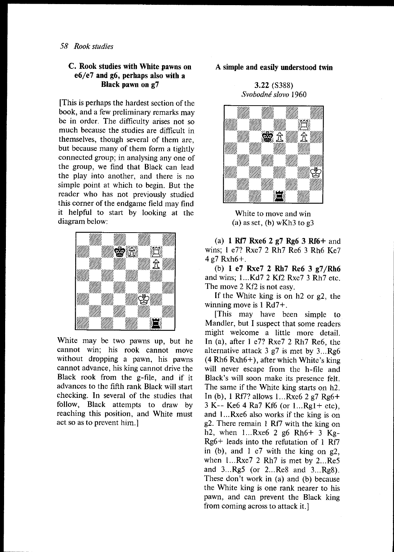# C. Rook studies with White pawns on  $e6/e7$  and g6, perhaps also with a Black pawn on g7

[This is perhaps the hardest section of the book, and a few preliminary remarks may be in order. The diffrculty arises not so much because the studies are diflicult in themselves, though several of them are, but because many of them form a tightly connected group; in analysing any one of the group, we find that Black can lead the piay into another, and there is no simple point at which to begin. But the reader who has not previously studied this corner of the endgame field may find it helpful to start by looking at the diagram below:



White may be two pawns up, but he cannot win; his rook cannot move without dropping a pawn, his pawns cannot advance, his king cannot drive the Black rook from the g-file, and if it advances to the fifth rank Black will start checking. In several of the studies that follow, Black attempts to draw by reaching this position, and White must act so as to prevent him.]

# A simple and easily understood twin

3.22 (5388) Svobodné slovo 1960



White to move and win (a) as set, (b) wKh3 to  $\mathfrak{g}3$ 

(a) 1 Rf7 Rxe6 2  $g7$  Rg6 3 Rf6+ and wins; 1 e7? Rxe7 2 Rh7 Re6 3 Rh6 Ke7 4g7 Rxh6+.

(b) 1 e7 RxeT 2 Rh7 Re6 3 g7/Rh6 and wins; 1...Kd7 2 Kf2 Rxe7 3 Rh7 etc. The move 2 Kf2 is not easy.

If the White king is on  $h$ 2 or  $g$ 2, the winning move is I Rd7+.

[This may have been simple to Mandler, but I suspect that some readers might welcome a little more detail. In (a), after  $1 \text{ e}7$ ? Rxe $7 \text{ 2 Rh}7$  Re6, the alternative attack  $3$  g7 is met by  $3...Rg6$ (4 Rh6 Rxh6+), after which White's king will never escape from the h-file and Black's will soon make its presence felt. The same if the White king starts on h2. In (b), I Rf7? allows l...Rxe6 2 g7 Rg6+ <sup>3</sup>K-- Ke6 4 Ra7 Kf6 (or l...Rgl+ etc), and l...Rxe6 also works if the king is on 92. There remain I Rf/ with the king on h2, when  $1...Rxe6$  2 g6 Rh $6+3$  Kg-Rg6+ leads into the refutation of I Rff in (b), and  $1 e7$  with the king on  $g2$ , when l...Rxe7 2 Rh7 is met by 2...Re5 and 3...Rg5 (or 2...Re8 and 3...Rg8). These don't work in (a) and (b) because the White king is one rank nearer to his pawn, and can prevent the Black king from coming across to attack it.]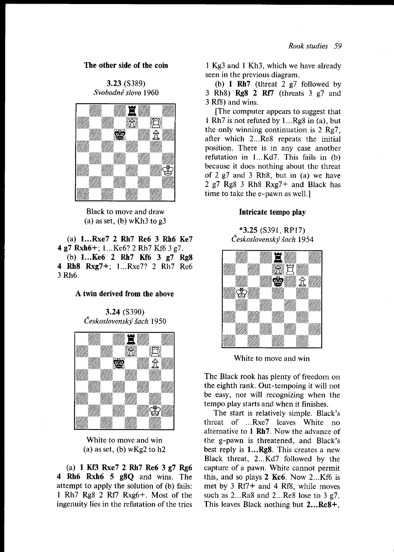# The other side of the coin

3.23 (S389) Svobodné slovo 1960



Black to move and draw (a) as set, (b) wKh3 to  $g3$ 

(a) l...Rxe7 2 Rh7 Re6 3 Rh6 Ke7 4 97 Rxh6+; 1...Ke6? 2 Rh7 Kf6 3 g7. (b) l...Ke6 2 Rh7 Kf6 3 g7 Rg8 4 Rh8 RxgT+; l...Rxe7? 2 Rh7 Re6 3 Rh<sub>6</sub>.

# A twin derived from the above

3.24 (S390) Československý šach 1950



White to move and win (a) as set, (b)  $wKg2$  to h2

(a) 1 Kf3 Rxe7 2 Rh7 Re6 3 g7 Rg6 4 Rh6 Rxh6 5 g8Q and wins. The attempt to apply the solution of (b) fails: 1 Rh7 Rg8 2 Rf7 Rxg6+. Most of the ingenuity lies in the refutation of the tries

I Kg3 and l Kh3, which we have already seen in the previous diagram.

(b) 1  $Rh7$  (threat 2  $g7$  followed by 3 Rh8)  $Rg8$  2 Rf7 (threats 3 g7 and 3 Rf8) and wins.

[The computer appears to suggest that 1 Rh7 is not refuted by  $1...Rg8$  in (a), but the only winning continuation is  $2 \text{ Re}7$ . after which 2...Re8 repeats the initial position. There is in any case another refutation in 1...Kd7. This fails in (b) because it does nothing about the threat of 2 g7 and 3 Rh8, but in (a) we have 2 g7 Rg8 3 RhS RxgT+ and Black has time to take the e-pawn as well.]

#### Intricate tempo play

\*3.25 (S391, RPl7)



White to move and win

The Black rook has plenty of freedom on the eighth rank. Out-tempoing it will not be easy, nor will recognizing when the tempo play starts and when it finishes.

The start is relatively simple. Black's threat of ...Rxe7 leaves White no alternative to I Rh7. Now the advance of the g-pawn is threatened, and Black's best reply is 1...Rg8. This creates a new Black threat, 2...Kd7 followed by the capture of a pawn. White cannot permit this, and so plays 2 Kc6. Now 2...Kf6 is met by 3 Rf7+ and 4 Rf8, while moves such as  $2...Ra8$  and  $2...Re8$  lose to  $3 \text{ g}7$ . This leaves Black nothing but 2...Rc8+,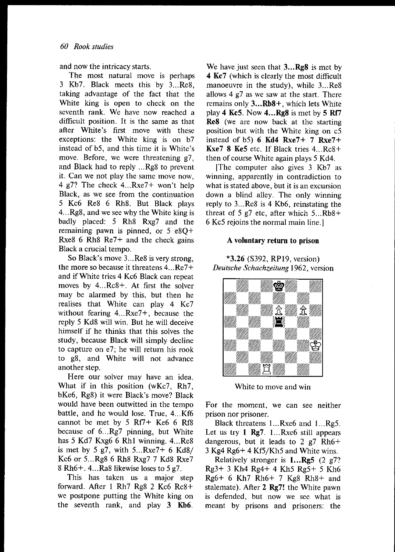and now the intricacy starts.

The most natural move is perhaps 3 Kb7. Black meets this by 3...Re8, taking advantage of the fact that the White king is open to check on the seventh rank. We have now reached a difficult position. It is the same as that after White's first move with these exceptions: the White king is on b7 instead of b5, and this time it is White's move. Before, we were threatening g7, and Black had to reply ...Rg8 to prevent it. Can we not play the same move now, 4 g7? The check 4...Rxe7+ won't help Black, as we see from the continuation 5 Kc6 Re8 6 Rh8. But Black plays 4...Rg8, and we see why the White king is badly placed: 5 Rh8 Rxg7 and the remaining pawn is pinned, or 5 e8Q+ Rxe8 6 Rh8  $Re7+$  and the check gains Black a crucial tempo.

So Black's move 3...Re8 is very strong, the more so because it threatens 4...Re7+ and if White tries 4 Kc6 Black can repeat moves by 4...Rc8+. At first the solver may be alarmed by this, but then he realises that White can play 4 Kc7 without fearing 4...Rxe7+, because the reply 5 Kd8 will win. But he will deceive himself if he thinks that this solves the study, because Black will simply decline to capture on e7; he will return his rook to 98, and White will not advance another step.

Here our solver may have an idea. What if in this position (wKc7, Rh7, bKe6, Rg8) it were Black's move? Black would have been outwitted in the tempo battle, and he would lose. True, 4...Kf6 cannot be met by 5 Rf7+ Ke6 6 Rf8 because of 6...Rg7 pinning, but White has 5 Kd7 Kxg6 6 Rh1 winning. 4...Re8 is met by 5 g7, with  $5...Rxe7+6$  Kd8/ Kc6 or 5...Rg8 6 Rh8 Rxg7 7 Kd8 Rxe7 8 Rh6+. 4...Ra8 likewise loses to  $5 g7$ .

This has taken us a major step forward. After I Rh7 Rg8 2 Kc6 Rc8+ we postpone putting the White king on the seventh rank, and play 3 Kb6.

We have just seen that  $3...Rg8$  is met by 4 Kc7 (which is clearly the most difficult manoeuvre in the study), while 3...Re8 allows 4 g7 as we saw at the start. There remains only 3...Rb8+, which lets White play 4 Kc5. Now  $4...Rg8$  is met by 5 Rf7 Re8 (we are now back at the starting position but with the White king on c5 instead of b5)  $6$  Kd4 Rxe7+ 7 Rxe7+ **Kxe7 8 Ke5** etc. If Black tries  $4...Rc8+$ then of course White again plays 5 Kd4.

[The computer also gives 3 Kb7 as winning, apparently in contradiction to what is stated above, but it is an excursion down a blind alley. The only winning reply to 3...Re8 is 4 Kb6, reinstating the threat of 5 g7 etc, after which  $5...Rb8+$ 6 Kc5 rejoins the normal main line.l

#### A voluntary return to prison

\*3.26 (5392, RPl9, version) Deutsche Schachzeitung 1962, version



White to move and win

For the moment. we can see neither prison nor prisoner.

Black threatens l...Rxe6 and 1...Rg5. Let us try I Rg7. l...Rxe6 still appears dangerous, but it leads to 2  $g$ 7 Rh6+  $3$  Kg4 Rg6+ 4 Kf5/Kh5 and White wins.

Relatively stronger is  $1...R25$  (2  $27$ ? Rs3+ 3 Kh4 Rg4+ 4 Kh5 Rg5+ 5 Kh6 Rg6+ 6 Kh7 Rh6+ 7 Kg8 Rh8+ and stalemate). After 2 Rg7! the White pawn is defended, but now we see what is meant by prisons and prisoners: the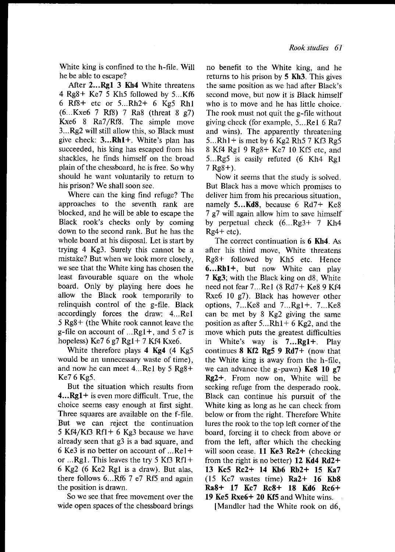White king is confined to the h-file. Will he be able to escape?

After 2...Rg1 3 Kh4 White threatens 4 Rg8+ Ke7 5 Kh5 followed by 5...Kf6 6  $Rf8+$  etc or 5... $Rh2+$  6  $Kg5$   $Rh1$ (6...Kxe6 7 Rf8) 7 Ra8 (threat 8 g7) Kxe6 8 Ra7/Rf8. The simple move 3...Rg2 will still allow this, so Black must give check:  $3...Rh1+$ . White's plan has succeeded, his king has escaped from his shackles, he finds himself on the broad plain of the chessboard, he is free. So why should he want voluntarily to return to his prison? We shall soon see.

Where can the king find refuge? The approaches to the seventh rank are blocked, and he will be able to escape the Black rook's checks only by coming down to the second rank. But he has the whole board at his disposal. Let is start by trying 4 Kg3. Surely this cannot be <sup>a</sup> mistake? But when we look more closely. we see that the White king has chosen the least favourable square on the whole board. Only by playing here does he allow the Black rook temporarily to relinquish control of the g-file. Black accordingly forces the draw: 4...Rel 5 Rg8+ (the White rook cannot leave the g-file on account of  $...Rgl+$ , and 5 e7 is hopeless) Ke7  $6 g7$  Rg1+ 7 Kf4 Kxe6.

White therefore plays  $4$  Kg $4$  (4 Kg $5$ would be an unnecessary waste of time), and now he can meet 4...Rel by 5 Rg8+ Ke7 6 Kg5.

But the situation which results from **4...Rg1+** is even more difficult. True, the choice seems easy enough at first sight. Three squares are available on the f-file. But we can reject the continuation 5 Kf4/Kf3 Rf1+ 6 Kg3 because we have already seen that g3 is a bad square, and 6 Ke3 is no better on account of  $\dots$ Re I + or  $...$ Rg1. This leaves the try 5 Kf3 Rf1+ 6 Kg2 (6 Ke2 Rgl is a draw). But alas, there follows 6...Rf6 7 e7 Rf5 and again the position is drawn.

So we see that free movement over the wide open spaces of the chessboard brings no benefit to the White king, and he returns to his prison by  $5$  Kh $3$ . This gives the same position as we had after Black's second move, but now it is Black himself who is to move and he has little choice. The rook must not quit the g-file without giving check (for example, 5...Rel 6 Ra7 and wins). The apparently threatening 5... $Rh1+$  is met by 6 Kg2 Rh5 7 Kf3 Rg5 8 Kfl Rgl 9 Rg8+ Ke7 l0 Kf5 etc, and 5...Rg5 is easily refuted (6 Kh4 Rgl  $7$  Rg $8+$ ).

Now it seems that the study is solved. But Black has a move which promises to deliver him from his precarious situation, namely 5...Kd8, because 6 Rd7+ Ke8 7 g7 will again allow him to save himself by perpetual check (6...Rg3+ 7 Kh4  $Rg4+etc$ ).

The correct continuation is 6 Kh4. As after his third move, White threatens Rg8+ followed by Kh5 etc. Hence 6...Rhl+, but now White can play 7 Kg3; with the Black king on d8, White need not fear 7...Rel (8 Rd7+ Ke8 9 Kf4 Rxe6 l0 g7). Black has however other options, 7...Ke8 and 7...Rgl+. 7...Ke8 can be met by 8 Kg2 giving the same position as after  $5...Rh1+6Kg2$ , and the move which puts the greatest difliculties in White's way is 7...Rgl+. Play continues  $8$  Kf2 Rg5  $9$  Rd7+ (now that the White king is away from the h-file, we can advance the g-pawn) Ke8 10  $g$ 7  $Rg2+$ . From now on, White will be seeking refuge from the desperado rook. Black can continue his pursuit of the White king as long as he can check from below or from the right. Therefore White lures the rook to the top left corner of the board, forcing it to check from above or from the left, after which the checking will soon cease. **11 Ke3 Re2+** (checking from the right is no better) 12 Kd4 Rd2+ 13 Kc5 Rc2+ 14 Kb6 Rb2+ 15 Ka7  $(15 \text{ Kc7}$  wastes time)  $Ra2+ 16 \text{ Kb8}$ Ra8+ 17 Kc7 Rc8+ 18 Kd6 Rc6+ 19 Ke5 Rxe6+ 20 Kf5 and Write wins.

[Mandler had the White rook on d6,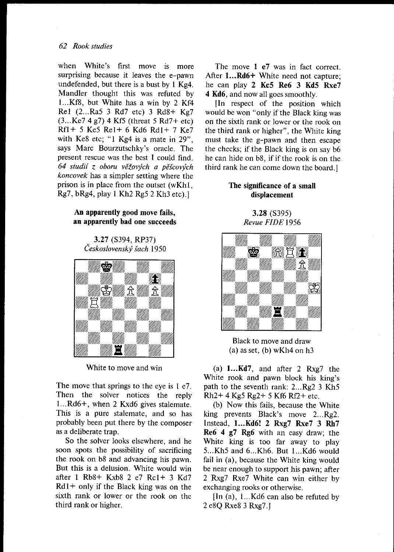#### 62 Rook studies

when White's first move is more surprising because it leaves the e-pawn undefended, but there is a bust by  $\frac{1}{2}$  Kg4. Mandler thought this was refuted by 1...Kf8, but White has a win by 2 Kf4 Rel (2...Ra5 3 Rd7 etc) 3 Rd8+ Kg7  $(3...Ke7 4 g7) 4 Kf5$  (threat 5 Rd7+ etc) Rfl+ 5 Ke5 Rel+ 6 Kd6 Rdl+ 7 Ke7 with Ke8 etc; "1 Kg4 is a mate in 29". says Marc Bourzutschky's oracle. The present rescue was the best I could find. 64 studií z oboru věžových a pěšcových koncovek has a simpler setting where the prison is in place from the outset (wKhl,  $Rg7$ , b $Rg4$ , play 1 Kh<sub>2</sub> Rg<sub>5</sub> 2 Kh<sub>3</sub> etc).

### An apparently good move fails, an apparently bad one succeeds

3.27 (5394, RP37) Československý šach 1950



White to move and win

The move that springs to the eye is 1 e7. Then the solver notices the reply l...Rd6+, when 2 Kxd6 gives stalemate. This is a pure stalemate, and so has probably been put there by the composer as a deliberate trap.

So the solver looks elsewhere, and he soon spots the possibility of sacrificing the rook on b8 and advancing his pawn. But this is a delusion. White would win after I Rb8\* Kxb8 2 e7 Rcl+ 3 Kd7  $Rd1+$  only if the Black king was on the sixth rank or lower or the rook on the third rank or higher.

The move 1 e7 was in fact correct. After 1...Rd6+ White need not capture: he can play 2 Kc5 Re6 3 Kd5 Rxe7 4 Kd6, and now all goes smoothly.

[n respect of the position which would be won "only if the Black king was on the sixth rank or lower or the rook on the third rank or higher", the White king must take the g-pawn and then escape the checks; if the Black king is on say b6 he can hide on b8, if if the rook is on the third rank he can come down the board.]

# The significance of a small displacement

3.28 (5395) Revue FIDE 1956



Black to move and draw  $(a)$  as set,  $(b)$  wKh4 on h3

(a)  $1...Kd7$ , and after 2 Rxg7 the White rook and pawn block his king's path to the seventh rank: 2...Rg2 3 Kh5 Rh2+ 4 Kg5 Rg2+ 5 Kf6 Rf2+ etc.

(b) Now this fails, because the White king prevents Black's move 2...Rg2. Instead, 1...Kd6! 2 Rxg7 Rxe7 3 Rh7 Re6 4 g7 Rg6 with an easy draw; the White king is too far away to play 5...Kh5 and 6...Kh6. But 1...Kd6 would fail in (a), because the White king would be near enough to support his pawn; after 2 RxgT RxeT White can win either by exchanging rooks or otherwise.

[In (a), 1...Kd6 can also be refuted by 2 e8Q Rxe8 3 Rxg7.l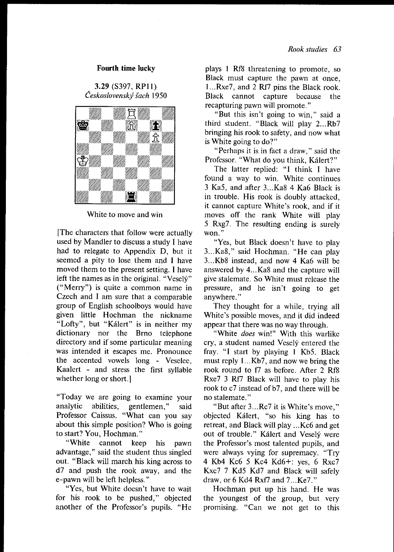#### Fourth time lucky

3.29 (S397, RP11) Československý šach 1950



White to move and win

[The characters that follow were actually used by Mandler to discuss a study I have had to relegate to Appendix D, but it seemed a pity to lose them and I have moved them to the present setting. I have left the names as in the original. "Vesely" ("Merry") is quite a common name in Czech and I am sure that a comparable group of English schoolboys would have given little Hochman the nickname "Lofty", but "Kálert" is in neither my dictionary nor the Brno telephone directory and if some particular meaning was intended it escapes me. Pronounce the accented vowels long - Veselee, Kaalert - and stress the first svllable whether long or short.]

"Today we are going to examine your analytic abilities, gentlemen," said Professor Caissus. "What can you say about this simple position? Who is going to start? You, Hochman."

"White cannot keep his pawn advantage," said the student thus singled out. "Black will march his king across to d7 and push the rook away, and the e-pawn will be left helpless."

"Yes, but White doesn't have to wait for his rook to be pushed," objected another of the Professor's pupils. "He

plays I Rf8 threatening to promote, so Black must capture the pawn at once, 1...Rxe7, and 2 Rf7 pins the Black rook. Black cannot capture because the recapturing pawn will promote."

"But this isn't going to win," said <sup>a</sup> third student. "Black will play 2...Rb7 bringing his rook to safety, and now what is White going to do?"

"Perhaps it is in fact a draw," said the Professor. "What do you think, Kalert?"

The latter replied: "I think I have found a way to win. White continues 3 Ka5, and after 3...Ka8 4 Ka6 Black is in trouble. His rook is doubly attacked, it cannot capture White's rook, and if it moves off the rank White will play 5 Rxg7. The resulting ending is surely won."

"Yes, but Black doesn't have to play 3...Ka8," said Hochman. "He can play 3...Kb8 instead, and now 4 Ka6 will be answered by 4...Ka8 and the capture will give stalemate. So White must release the pressure, and he isn't going to get anywhere."

They thought for a while, trying all White's possible moves, and it did indeed appear that there was no way through.

"White does win!" With this warlike cry, a student named Veselý entered the fray. "l start by playing l Kb5. Black must reply 1...Kb7, and now we bring the rook round to f7 as before. After 2 Rf8 Rxe7 3 Rf7 Black will have to play his rook to c7 instead of b7, and there will be no stalemate."

"But after 3...Rc7 it is White's move," objected Kdlert, "so his king has to retreat, and Black will play ...Kc6 and get out of trouble." Kalert and Veselv were the Professor's most talented pupils, and were always vying for supremacy. "Try 4 Kb4 Kc6 5 Kc4 Kd6+: yes, 6 RxcT Kxc7 7 Kd5 Kd7 and Black will safely draw, or 6 Kd4 Rxf7 and 7...Ke7."

Hochman put up his hand. He was the youngest of the group, but very promising. "Can we not get to this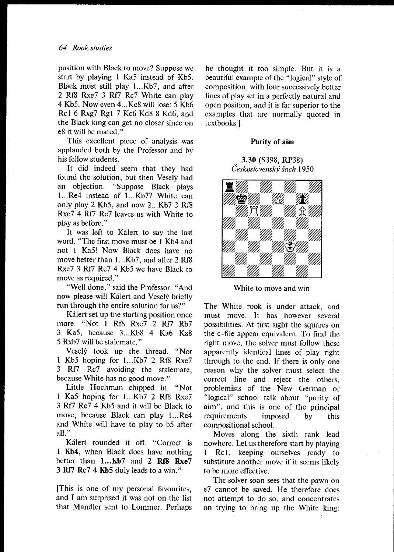position with Black to move? Suppose we start by playing I Ka5 instead of Kb5. Black must still play 1...Kb7, and after 2 Rf8 Rxe7 3 Rf7 Rc7 White can play 4 Kb5. Now even 4...Kc8 will lose: 5 Kb6 Rcl 6 RxgT Rgl 7 Kc6 Kd8 8 Kd6, and the Black king can get no closer since on e8 it will be mated."

This excellent piece of analysis was applauded both by the Professor and by his fellow students.

It did indeed seem that they had found the solution, but then Vesely had an objection. "Suppose Black plays l...Re4 instead of l...Kb7? White can only play 2 Kb5, and now 2...Kb7 3 Rf8 Rxe7 4 Rf7 Rc7 leaves us with White to piay as before. "

It was left to Kálert to say the last word. "The frrst move must be I Kb4 and not I Ka5! Now Black does have no move better than 1...Kb7, and after 2 Rf8 Rxe7 3 Rf7 Rc7 4 Kb5 we have Black to move as required."

"Well done," said the Professor. "And now please will Kálert and Veselý briefly run through the entire solution for us?"

Kálert set up the starting position once more. "Not 1 Rf8 Rxe7 2 Rf7 Rb7 3 Ka5, because 3...Kb8 4 Ka6 Ka8 5 RxbT will be stalemate. "

Vesely took up the thread. "Not 1 Kb5 hoping for l...Kb7 2 Rf8 RxeT 3 Rf7 Rc7 avoiding the stalemate, because White has no good move."

Little Hochman chipped in. "Not I Ka5 hoping for l...Kb7 2 Rf8 RxeT 3 Rf7 Rc7 4 Kb5 and it will be Black to move, because Black can play 1...Re4 and White will have to play to b5 after all."

Kálert rounded it off. "Correct is I Kb4, when Black does have nothing better than 1...Kb7 and 2 Rf8 Rxe7 3 Rf7 Rc7 4 Kb5 duly leads to a win."

[This is one of my penonal favourites, and I am surprised it was not on the list that Mandler sent to Lommer. Perhaos he thought it too simple. But it is a beautiful example of the "logical" style of composition, with four successively better lines of play set in a perfectly natural and open position, and it is far superior to the examples that are normally quoted in textbooks.l

### Purity of aim

### 3.30 (5398, RP38) Československý šach 1950



White to move and win

The White rook is under attack, and must move. It has however several possibilities. At first sight the squares on the c-file appear equivalent. To find the right move, the solver must follow these apparently identical lines of play right through to the end. If there is only one reason why the solver must select the correct line and reject the others, problemists of the New German or "logical" school talk about "purity of aim", and this is one of the principal requirements imposed by this compositional school.

Moves along the sixth rank lead nowhere. Let us therefore start by playing I Rcl, keeping ourselves ready to substitute another move if it seems likely to be more effective.

The solver soon sees that the pawn on e7 cannot be saved. He therefore does not attempt to do so, and concentrates on trying to bring up the White king: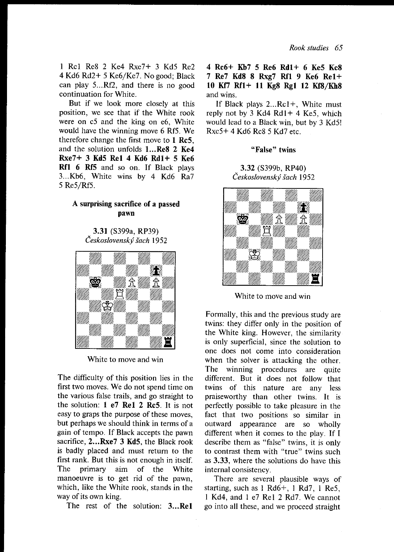I Rcl Re8 2 Ke4 RxeT+ 3 Kd5 Re2 4 Kd6 Rd2+ 5 Ke6/Ke7 . No good; Black can play 5...Rf2, and there is no good continuation for White.

But if we look more closely at this position, we see that if the White rook were on c5 and the king on e6. White would have the winning move 6 Rf5. We therefore change the first move to I Rc5, and the solution unfolds l...Re8 2 Ke4 RxeT+ 3 Kd5 Rel 4 Kd6 Rdl+ 5 Ke6 Rf1 6 Rf5 and so on. If Black plays 3...Kb6, White wins by 4 Kd6 Ra7 5 Re5/Rf5.

### A surprising sacrifice of a passed pawn

3.31 (S399a, RP39) Československý šach 1952



White to move and win

The difficulty of this position lies in the first two moves. We do not spend time on the various false trails, and go straight to the solution: I e7 Rel 2 Rc5. It is not easy to graps the purpose of these moves, but perhaps we should think in terms of <sup>a</sup> gain of tempo. If Black accepts the pawn sacrifice, 2...Rxe7 3 Kd5. the Black rook is badly placed and must return to the first rank. But this is not enough in itself. The primary aim of the White manoeuvre is to get rid of the pawn, which, like the White rook, stands in the way of its own king.

The rest of the solution: 3.,.Rel

# 4 Rc6+ Kb7 5 Re6 Rdl+ 6 Ke5 Kc8 7 Re7 Kd8 8 Rxg7 Rf1 9 Ke6 Re1+ 10 Kf7 Rf1+ 11 Kg8 Rg1 12 Kf8/Kh8 and wins.

If Black plays 2...Rcl+, White must reply not by  $3$  Kd4 Rd1+ 4 Ke5, which would lead to a Black win, but by 3 Kd5! Rxc5+ 4 Kd6 Rc8 5 Kd7 etc.

#### "False" twins

.3.32 (S399b, RP40) Československý šach 1952



White to move and win

Formally, this and the previous study are twins: they differ only in the position of the White king. However, the similarity is only superficial, since the solution to one does not come into consideration when the solver is attacking the other. The winning procedures are quite different. But it does not follow that twins of this nature are any less praiseworthy than other twins. It is perfectly possible to take pleasure in the fact that two positions so similar in outward appearance are so wholly different when it comes to the play. If I describe them as "false" twins, it is only to contrast them with "true" twins such as 3.33, where the solutions do have this internal consistency.

There are several plausible ways of starting, such as I Rd6+, I Rd7, i Re5, l Kd4, and I e7 Rel 2 Rd7. We cannot go into all these, and we proceed straight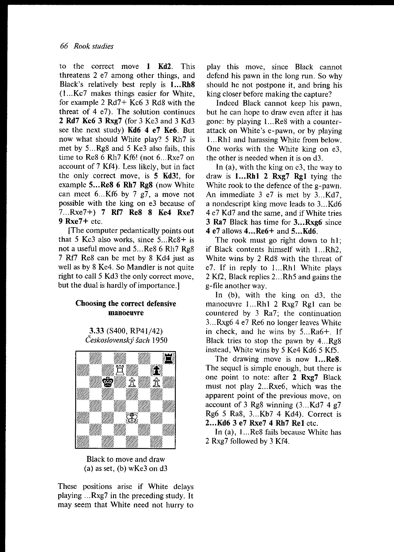to the correct move I Kd2. This threatens 2 e7 among other things, and Black's relatively best reply is 1...Rh8 (1...Kc7 makes things easier for White, for example 2 Rd7+ Kc6 3 Rd8 with the threat of  $4 \text{ e}$ . The solution continues 2 Rd7 Kc6 3 RxgT (for 3 Ke3 and 3 Kd3 see the next study) Kd6 4 e7 Ke6. But now what should White play? 5 Rh7 is met by 5...Rg8 and 5 Ke3 also fails, this time to Re8 6 Rh7 Kf6! (not 6...Rxe7 on account of 7 Kf4). Less likely, but in fact the only correct move, is 5 Kd3!, for example 5...Re8 6 Rh7 Rg8 (now White can meet  $6...Kf6$  by 7  $g7$ , a move not possible with the king on e3 because of 7...Rxe7+) 7 Rf7 Re8 8 Ke4 RxeT 9 RxeT+ etc.

[The computer pedantically points out that 5 Kc3 also works, since  $5...Rc8+$  is not a useful move and 5...Re8 6 Rh7 Rg8 7 Rf7 Re8 can be met by 8 Kd4 just as well as by 8 Ke4. So Mandler is not quite right to call 5 Kd3 the only correct move, but the dual is hardly of importance.]

# Choosing the correct defensive manoeuvre

3.33 (5400, RP4t/42) Československý šach 1950



Black to move and draw  $(a)$  as set,  $(b)$  wKe3 on d3

These positions arise if White delays playing ...Rxg7 in the preceding study. It may seem that White need not hurry to

play this move, since Black cannot defend his pawn in the long run. So why should he not postpone it, and bring his king closer before making the capture?

Indeed Black cannot keep his pawn, but he can hope to draw even after it has gone: by playing 1...Re8 with a counterattack on White's e-pawn, or by playing 1...Rh1 and harassing White from below. One works with the White king on  $e3$ . the other is needed when it is on d3.

In (a), with the king on e3, the way ro draw is 1...Rh1 2 Rxg7 Rg1 tying the White rook to the defence of the g-pawn. An immediate 3 e7 is met by 3...Kd7, a nondescript king move leads to 3...Kd6 4 e7 Kd7 and the same, and if White tries 3 Ra7 Black has time for 3...Rxg6 since 4 e7 allows 4...Re6+ and 5...Kd6.

The rook must go right down to hl; if Black contents himself with 1...Rh2. White wins by 2 Rd8 with the threat of e7. If in reply to 1...Rhl White plays 2 Kf2, Black replies 2...Rh5 and gains the g-file another way.

In  $(b)$ , with the king on d3, the manoeuvre 1...Rh1 2 Rxg7 Rg1 can be countered by 3 Ra7, the continuation 3...Rxg6 4 e7 Re6 no longer leaves White in check, and he wins by  $5...Ra6+$ . If Black tries to stop the pawn by  $4...Rg8$ instead, White wins by 5 Ke4 Kd6 5 Kf5.

The drawing move is now 1...Re8. The sequel is simple enough, but there is one point to note: after 2 Rxg7 Black must not play 2...Rxe6, which was the apparent point of the previous move, on account of 3 Rg8 winning  $(3...Kd7 4 g7)$ Rg6 5 Ra8, 3...Kb7 4 Kd4). Correct is 2...Kd6 3 e7 RxeT 4 Rh7 Rel etc.

In (a), l...Re8 fails because White has 2 Rxg7 followed by 3 Kf4.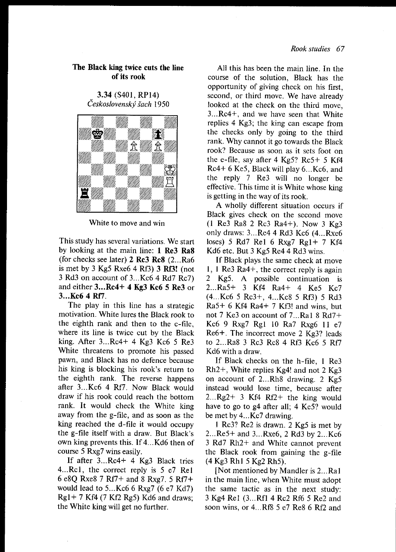# The Black king twice cuts the line of its rook

3.34 (S401, RPl4) Československý šach 1950



White to move and win

This study has several variations. We start by looking at the main line: 1 Re3 Ra8 (for checks see later) 2 Rc3 Rc8 (2...Ra6 is met by 3 Kg5 Rxe6 4 Rf3)  $3$  Rf3! (not 3 Rd3 on account of 3...Kc6 4 Rd7 Rc7) and either 3...Rc4+ 4 Kg3 Kc6 5 Re3 or 3...Kc6 4 Rf7.

The play in this line has a strategic motivation. White lures the Black rook to the eighth rank and then to the  $c$ -file. where its line is twice cut by the Black king. After 3...Rc4+ 4 Kg3 Kc6 5 Re3 White threatens to promote his passed pawn, and Black has no defence because his king is blocking his rook's return to the eighth rank. The reverse happens after 3...Kc6 4 Rf7. Now Black would draw if his rook could reach the bottom rank. It would check the White king away from the g-file, and as soon as the king reached the d-file it would occupy the g-file itself with a draw. But Black's own king prevents this. If 4...Kd6 then of course 5 RxgT wins easily.

If after 3...Rc4+ 4 Kg3 Black tries 4...Rc1, the correct reply is 5 e7 Rel 6 e8Q Rxe8 7 Rf7+ and 8 Rxg7. 5 Rf7+ would lead to  $5...Kc66$  Rxg7 (6 e7 Kd7)  $Rg1 + 7$  Kf4 (7 Kf2 Rg5) Kd6 and draws; the White king will get no further.

All this has been the main line. In the coune of the solution, Black has the opportunity of giving check on his first, second, or third move. We have already looked at the check on the third move, 3...Rc4+, and we have seen that White replies 4 Kg3; the king can escape from the checks only by going to the third rank. Why cannot it go towards the Black rook? Because as soon as it sets foot on the e-file, say after  $4$  Kg5? Rc5+ 5 Kf4 Rc4+ 6 Ke5, Black will play 6...Kc6, and the reply 7 Re3 will no longer be effective. This time it is White whose king is getting in the way of its rook.

A wholly different situation occurs if<br>Black gives check on the second move  $\left(1 \text{ Re} 3 \text{ Ra} 8 \text{ 2 } \text{Re} 3 \text{ Ra} 4+\right)$ . Now 3 Kg3 only draws: 3...Re4 4 Rd3 Kc6 (4...Rxe6 loses) 5 Rd7 Re1 6 Rxg7 Rg1+ 7 Kf4 Kd6 etc. But 3 Kg5 Re4 4 Rd3 wins.

If Black plays the same check at move l, l Re3 Ra4\*, the correct reply is again 2 Kg5. A possible continuation is 2...Ra5+ 3 Kf4 Ra4+ 4 Ke5 Kc7 (4...Kc6 5 Rc3+, 4...Kc8 5 Rf3) 5 Rd3  $Ra5+ 6$  Kf4 Ra4+ 7 Kf3! and wins, but not 7 Ke3 on account of 7...Ral 8 Rd7+ Kc6 9 Rxg7 Rg1 10 Ra7 Rxg6 11 e7 Re6+. The incorrect move 2 Kg3? leads to 2...Ra8 3 Rc3 Rc8 4 Rf3 Kc6 5 Rf/ Kd6 with a draw.

If Black checks on the h-file, I Re3  $Rh2+$ , White replies Kg4! and not 2 Kg3 on account of 2...Rh8 drawing. 2 Kg5 instead would lose time. because after 2...Rg2+ 3 Kf4 Rf2+ the king would have to go to g4 after all; 4 Ke5? would be met by 4...Kc7 drawing.

I Rc3? Re2 is drawn. 2 Kg5 is met by 2...Re5+ and 3...Rxe6, 2 Rd3 by 2...Kc6 3 Rd7 Rh2+ and White cannot prevent the Black rook from gaining the g-file (4 Kg3 Rhl 5 Kg2 Rh5).

[Not mentioned by Mandler is 2...Ral in the main line, when White must adopt the same tactic as in the next study: 3 Kg4 Rel (3...Rf1 4 Rc2 Rf6 5 Re2 and soon wins, or 4...Rf8 5 e7 Re8 6 Rf2 and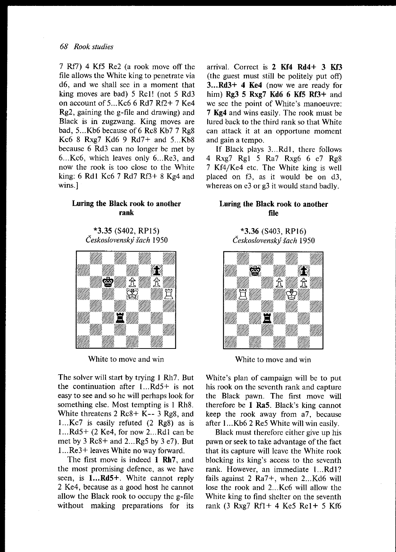7 Rf7) 4 Kf5 Re2 (a rook move off the file allows the White king to penetrate via d6, and we shall see in a moment that king moves are bad) 5 Rcl! (not 5 Rd3 on account of 5...Kc6 6 Rd7 Rf2+ 7 Ke4 Rg2, gaining the g-file and drawing) and Black is in zugzwang. King moves are bad, 5...Kb6 because of 6 Rc8 Kb7 7 Rg8 Kc6 8 RxgT Kd6 9 Rd7+ and 5...Kb8 because 6 Rd3 can no longer be met by 6...Kc6, which leaves only 6...Re3, and now the rook is too close to the White king: 6 Rdl Kc6 7 Rd7 Rf3+ 8 Kg4 and wins.

# Luring the Black rook to another rank

\*3.35 (5402, RP15) Československý šach 1950



White to move and win

The solver will start by trying I Rh7. But the continuation after l...Rd5+ is not easy to see and so he will perhaps look for something else. Most tempting is I Rh8. White threatens 2 Rc8+ K-- 3 Rg8, and 1...Kc7 is easily refuted (2 Rg8) as is l...Rd5+ (2Ke4, for now 2...Rdl can be met by  $3 \text{Re}8 + \text{and } 2 \dots \text{Re}5$  by  $3 \text{ e}7$ ). But 1 . . Re3+ leaves White no way forward.

The first move is indeed 1 Rh7, and the most promising defence, as we have seen, is 1...Rd5+. White cannot reply 2 Ke4, because as a good host he cannot allow the Black rook to occupy the g-file without making preparations for its arrival. Correct is 2 Kf4 Rd4+ 3 Kf3 (the guest must still be politely put off) 3.,.Rd3+ 4 Ke4 (now we are ready for him)  $Rg3 5 Rxg7 Kd6 6 Kf5 Rf3+$  and we see the point of White's manoeuvre: 7 Kg4 and wins easily. The rook must be lured back to the third rank so that White can attack it at an opportune moment and gain a tempo.

If Black plays 3...Rd1, there follows 4 Rxg7 Rg1 5 Ra7 Rxg6 6 e7 Rg8 7 Kf4/Ke4 etc. The White king is well placed on  $f3$ , as it would be on  $d3$ . whereas on  $e3$  or  $g3$  it would stand badly.

# Luring the Black rook to another file

### \*3.36 (5403, RPt6) Československý šach 1950



White to move and win

White's plan of campaign will be to put his rook on the seventh rank and capture the Black pawn. The first move will therefore be I Ra5. Black's king cannot keep the rook away from a7, because after l...Kb6 2 Re5 White will win easily.

Black must therefore either give up his pawn or seek to take advantage of the fact that its capture will leave the White rook blocking its king's access to the seventh rank. However, an immediate l...Rdl? fails against 2 Ra7+, when 2...Kd6 will lose the rook and 2...Kc6 will allow the White king to find shelter on the seventh rank (3 Rxg7 Rf1+ 4 Ke5 Re1+ 5 Kf6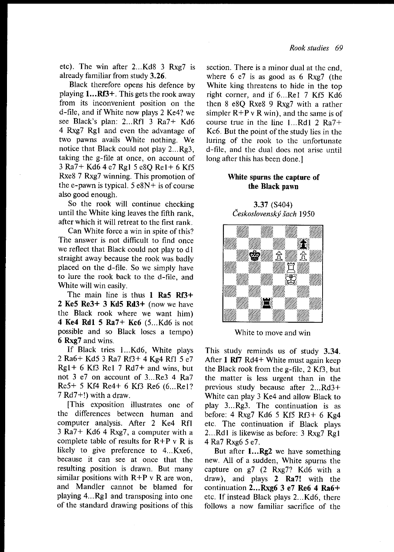etc). The win after 2...Kd8 3 Rxg7 is already familiar from study 3.26.

Black therefore opens his defence by playing  $1...Rf3+$ . This gets the rook away from its inconvenient position on the d-file, and if White now plays 2 Ke4? we see Black's plan: 2...Rfl 3 Ra7+ Kd6 4 Rxg7 Rg1 and even the advantage of two pawns avails White nothing. We notice that Black could not play  $2...Rg3$ , taking the g-file at once, on account of 3 Ra7+ Kd6 4 e7 Rgl 5 e8Q Rel+ 6 Kf5 Rxe8 7 Rxg7 winning. This promotion of the e-pawn is typical.  $5 e8N +$  is of course also good enough.

So the rook will continue checking until the White king leaves the fifth rank. after which it will retreat to the first rank.

Can White force a win in spite of this? The answer is not difficult to find once we reflect that Black could not play to dl straight away because the rook was badly placed on the d-file. So we simply have to lure the rook back to the d-file, and White will win easily.

The main line is thus 1 Ra5 Rf3+ 2 Ke5  $\text{Re}3+3$  Kd5  $\text{R}d3+$  (now we have the Black rook where we want him) 4 Ke4 Rdl 5 Ra7+ Kc6 (5...Kd6 is not possible and so Black loses a tempo) 6 RxgT and wins.

If Black tries 1...Kd6, White plays 2 Ra6+ Kd5 3 Ra7 Rf3+ 4 Kg4 Rfl <sup>5</sup>e7  $Rgl + 6$  Kf3 Rel 7 Rd7+ and wins, but not 3 e7 on account of 3...Re3 4 Ra7 Re5+ 5 Kf4 Re4+ 6 Kf3 Re6 (6...Re1? 7 Rd7+!) with a draw.

[This exposition illustrates one of the differences between human and computer analysis. After 2 Ke4 Rfl  $3$  Ra $7+$  Kd6 4 Rxg7, a computer with a complete table of results for  $R+P v R$  is likely to give preference to 4...Kxe6, because it can see at once that the resulting position is drawn. But many similar positions with  $R+P$  v R are won. and Mandler cannot be blamed for playing 4...Rgl and transposing into one of the standard drawing positions of this

section. There is a minor dual at the end. where  $6 \text{ e}7$  is as good as  $6 \text{ Rxg}7$  (the White king threatens to hide in the top right corner, and if 6...Re1 7 Kf5 Kd6 then 8 e8Q Rxe8 9 Rxg7 with a rather simpler  $R+P$  v R win), and the same is of course true in the line l...Rdl 2 Ra7+ Kc6. But the point of the study lies in the luring of the rook to the unfortunate d-fiIe, and the dual does not arise until long after this has been done.l

### White spurns the capture of the Black pawn

3.37 (5404) Československý šach 1950



White to move and win

This study reminds us of study 3.34. After 1 Rf7 Rd4+ White must again keep the Black rook from the g-file, 2 Kf3, but the matter is less urgent than in the previous study because after  $2...Rd3+$ White can play 3 Ke4 and allow Black to play 3...Rg3. The continuation is as before: 4 RxgT Kd6 5 Kf5 Rf3+ 6 Kg4 etc. The continuation if Black plays 2...Rd1 is likewise as before: 3 Rxg7 Rg1 4 Ra7 Rxg6 5 e7.

But after **1...Rg2** we have something new. All of a sudden, White spurns the capture on g7 (2 Rxg7? Kd6 with a draw), and plays 2 Ra7! with the continuation 2...Rxg6 3 e7 Re6 4 Ra6+ etc. If instead Black plays 2...Kd6, there follows a now familiar sacrifice of the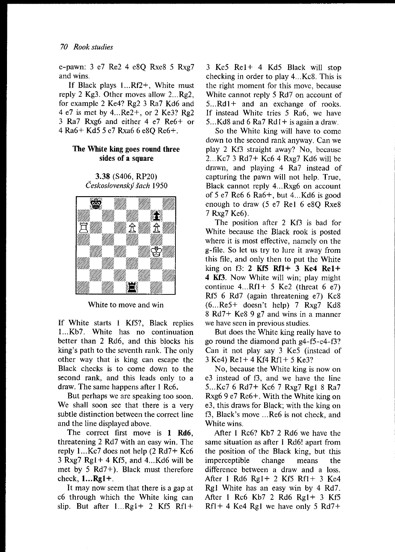e-pawn: 3 e7 Re2 4 e8Q Rxe8 5 RxgT and wins.

If Black plays  $1...RF2+$ , White must reply 2 Kg3. Other moves allow 2...Rg2, for example 2 Ke4? Rg2 3 Ra7 Kd6 and 4 e7 is met by 4...Re2+, or 2 Ke3? Rg2 3 Ra7 Rxg6 and either 4 e7 Re6\* or 4 Ra6+ Kd5 5 e7 Rxa6 6 eSQ Re6+.

# The White king goes round three sides of a square

3.38 (5406, RP20) Československý šach 1950



White to move and win

If White starts 1 Kf5?, Black replies 1...Kb7. White has no continuation better than 2 Rd6, and this blocks his king's path to the seventh rank. The only other way that is king can escape the Black checks is to come down to the second rank, and this leads only to <sup>a</sup> draw. The same happens after I Rc6.

But perhaps we are speaking too soon. We shall soon see that there is a very subtle distinction between the correct line and the line displayed above.

The correct first move is 1 Rd6. threatening 2 Rd7 with an easy win. The reply l...Kc7 does not help (2 Rd7+ Kc6  $3$  Rxg $7$  Rg $1+4$  Kf<sub>2</sub>, and  $4...$ Kd<sub>6</sub> will be met by 5 Rd7+). Black must therefore check,  $1...$ **Rg1+**.

It may now seem that there is a gap at c6 through which the White king can slip. But after  $1...Rg1+ 2 Kf5 Rf1+$  3 Ke5 Rel+ 4 Kd5 Black will stop checking in order to play 4...Kc8. This is the right moment for this move, because White cannot reply 5 Rd7 on account of 5...Rdl+ and an exchange of rooks. If instead White tries 5 Ra6, we have 5...Kd8 and 6 Ra7 Rd1+ is again a draw.

So the White king will have to come down to the second rank anyway. Can we play 2 Kf3 straight away? No, because  $2...$ Kc $7$  3 Rd $7+$  Kc $6$  4 Rxg $7$  Kd $6$  will be drawn, and playing 4 Ra7 instead of capturing the pawn will not help. True, Black cannot reply 4...Rxg6 on account of 5 e7 Re6 6 Ra6+, but 4...Kd6 is good enough to draw (5 e7 Rel 6 e8Q RxeS 7 RxgT Ke6).

The position after 2 Kf3 is bad for White because the Black rook is posted where it is most effective, namely on the g-fiIe. So let us try to lure it away from this file, and only then to put the White king on  $f3$ : 2 Kf5 Rf1+ 3 Ke4 Re1+ 4 Kf3. Now White will win; play might continue  $4...Rf1+ 5 Ke2$  (threat 6 e7) Rf5 6 Rd7 (again threatening e7) Kc8  $(6...Re5+$  doesn't help) 7 Rxg7 Kd8 8 Rd7+ Ke8 9 g7 and wins in a manner we have seen in previous studies.

But does the White king really have to go round the diamond path  $g$ 4-f5-e4-f3? Can it not play say 3 Ke5 (instead of <sup>3</sup>Ke4) Rel+ 4 Kf4 Rfl+ 5 Ke3?

No, because the White king is now on e3 instead of f3, and we have the line 5...Kc7 6 Rd7+ Kc6 7 Rxg7 Rg1 8 Ra7 Rxg6 9 e7 Re6+. With the White king on e3, this draws for Black; with the king on f3, Black's move ...Re6 is not check, and White wins.

After I Rc6? Kb7 2 Rd6 we have the same situation as after I Rd6! apart from the position of the Black king, but this imperceptible change means the difference between a draw and a loss. After I Rd6 Rgl+ 2 Kf5 Rfl+ 3 Ke4 Rgl White has an easy win by 4 Rd7. After I Rc6 Kb7 2 Rd6 Rgl+ 3 Kf5  $Rf1 + 4$  Ke4 Rg1 we have only 5 Rd7+